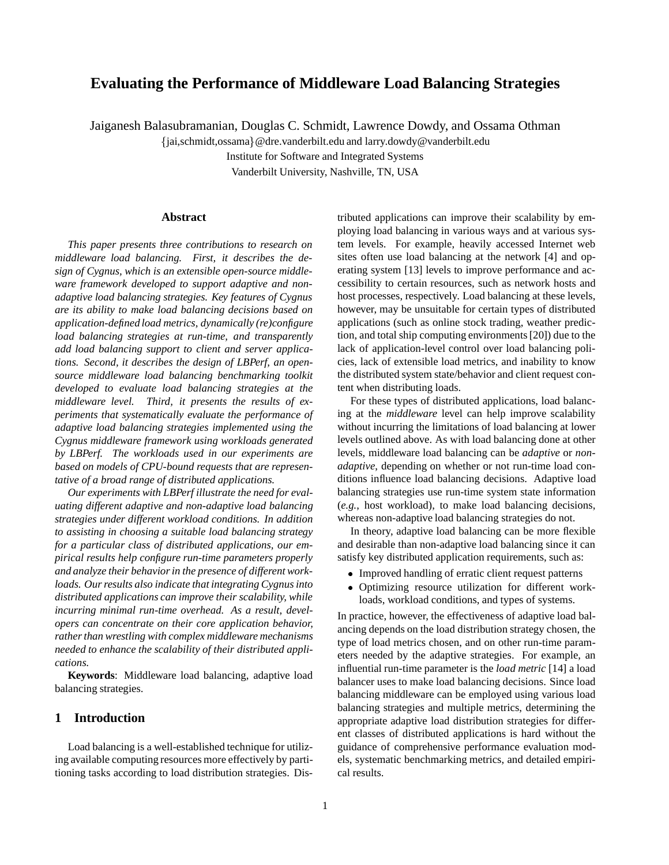# **Evaluating the Performance of Middleware Load Balancing Strategies**

Jaiganesh Balasubramanian, Douglas C. Schmidt, Lawrence Dowdy, and Ossama Othman

fjai,schmidt,ossamag@dre.vanderbilt.edu and larry.dowdy@vanderbilt.edu

Institute for Software and Integrated Systems

Vanderbilt University, Nashville, TN, USA

### **Abstract**

*This paper presents three contributions to research on middleware load balancing. First, it describes the design of Cygnus, which is an extensible open-source middleware framework developed to support adaptive and nonadaptive load balancing strategies. Key features of Cygnus are its ability to make load balancing decisions based on application-defined load metrics, dynamically (re)configure load balancing strategies at run-time, and transparently add load balancing support to client and server applications. Second, it describes the design of LBPerf, an opensource middleware load balancing benchmarking toolkit developed to evaluate load balancing strategies at the middleware level. Third, it presents the results of experiments that systematically evaluate the performance of adaptive load balancing strategies implemented using the Cygnus middleware framework using workloads generated by LBPerf. The workloads used in our experiments are based on models of CPU-bound requests that are representative of a broad range of distributed applications.*

*Our experiments with LBPerf illustrate the need for evaluating different adaptive and non-adaptive load balancing strategies under different workload conditions. In addition to assisting in choosing a suitable load balancing strategy for a particular class of distributed applications, our empirical results help configure run-time parameters properly and analyze their behavior in the presence of different workloads. Our results also indicate that integrating Cygnus into distributed applications can improve their scalability, while incurring minimal run-time overhead. As a result, developers can concentrate on their core application behavior, rather than wrestling with complex middleware mechanisms needed to enhance the scalability of their distributed applications.*

**Keywords**: Middleware load balancing, adaptive load balancing strategies.

# **1 Introduction**

Load balancing is a well-established technique for utilizing available computing resources more effectively by partitioning tasks according to load distribution strategies. Distributed applications can improve their scalability by employing load balancing in various ways and at various system levels. For example, heavily accessed Internet web sites often use load balancing at the network [4] and operating system [13] levels to improve performance and accessibility to certain resources, such as network hosts and host processes, respectively. Load balancing at these levels, however, may be unsuitable for certain types of distributed applications (such as online stock trading, weather prediction, and total ship computing environments [20]) due to the lack of application-level control over load balancing policies, lack of extensible load metrics, and inability to know the distributed system state/behavior and client request content when distributing loads.

For these types of distributed applications, load balancing at the *middleware* level can help improve scalability without incurring the limitations of load balancing at lower levels outlined above. As with load balancing done at other levels, middleware load balancing can be *adaptive* or *nonadaptive*, depending on whether or not run-time load conditions influence load balancing decisions. Adaptive load balancing strategies use run-time system state information (*e.g.*, host workload), to make load balancing decisions, whereas non-adaptive load balancing strategies do not.

In theory, adaptive load balancing can be more flexible and desirable than non-adaptive load balancing since it can satisfy key distributed application requirements, such as:

- Improved handling of erratic client request patterns
- Optimizing resource utilization for different workloads, workload conditions, and types of systems.

In practice, however, the effectiveness of adaptive load balancing depends on the load distribution strategy chosen, the type of load metrics chosen, and on other run-time parameters needed by the adaptive strategies. For example, an influential run-time parameter is the *load metric* [14] a load balancer uses to make load balancing decisions. Since load balancing middleware can be employed using various load balancing strategies and multiple metrics, determining the appropriate adaptive load distribution strategies for different classes of distributed applications is hard without the guidance of comprehensive performance evaluation models, systematic benchmarking metrics, and detailed empirical results.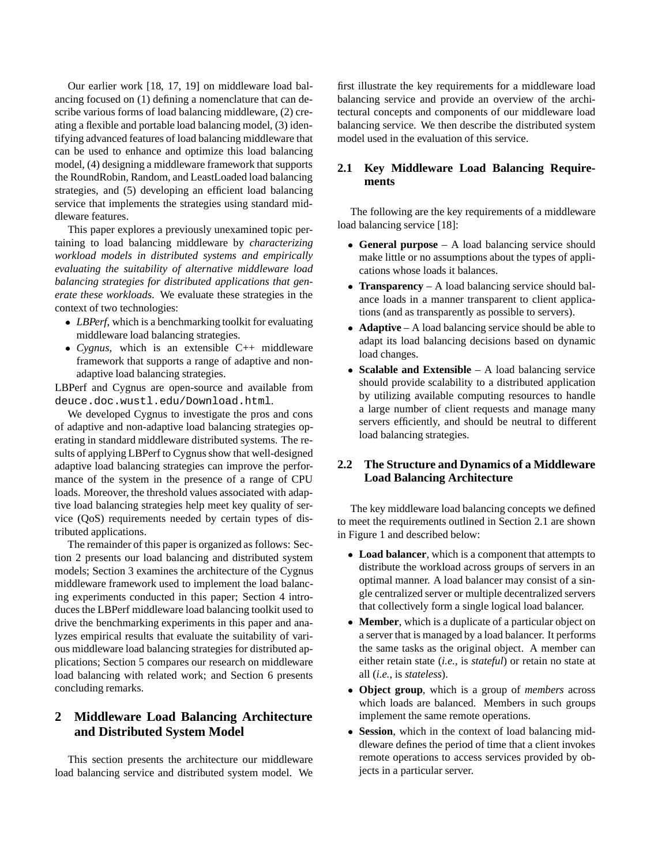Our earlier work [18, 17, 19] on middleware load balancing focused on (1) defining a nomenclature that can describe various forms of load balancing middleware, (2) creating a flexible and portable load balancing model, (3) identifying advanced features of load balancing middleware that can be used to enhance and optimize this load balancing model, (4) designing a middleware framework that supports the RoundRobin, Random, and LeastLoaded load balancing strategies, and (5) developing an efficient load balancing service that implements the strategies using standard middleware features.

This paper explores a previously unexamined topic pertaining to load balancing middleware by *characterizing workload models in distributed systems and empirically evaluating the suitability of alternative middleware load balancing strategies for distributed applications that generate these workloads*. We evaluate these strategies in the context of two technologies:

- *LBPerf*, which is a benchmarking toolkit for evaluating middleware load balancing strategies.
- *Cygnus*, which is an extensible C++ middleware framework that supports a range of adaptive and nonadaptive load balancing strategies.

LBPerf and Cygnus are open-source and available from deuce.doc.wustl.edu/Download.html.

We developed Cygnus to investigate the pros and cons of adaptive and non-adaptive load balancing strategies operating in standard middleware distributed systems. The results of applying LBPerf to Cygnus show that well-designed adaptive load balancing strategies can improve the performance of the system in the presence of a range of CPU loads. Moreover, the threshold values associated with adaptive load balancing strategies help meet key quality of service (QoS) requirements needed by certain types of distributed applications.

The remainder of this paper is organized as follows: Section 2 presents our load balancing and distributed system models; Section 3 examines the architecture of the Cygnus middleware framework used to implement the load balancing experiments conducted in this paper; Section 4 introduces the LBPerf middleware load balancing toolkit used to drive the benchmarking experiments in this paper and analyzes empirical results that evaluate the suitability of various middleware load balancing strategies for distributed applications; Section 5 compares our research on middleware load balancing with related work; and Section 6 presents concluding remarks.

# **2 Middleware Load Balancing Architecture and Distributed System Model**

This section presents the architecture our middleware load balancing service and distributed system model. We

first illustrate the key requirements for a middleware load balancing service and provide an overview of the architectural concepts and components of our middleware load balancing service. We then describe the distributed system model used in the evaluation of this service.

# **2.1 Key Middleware Load Balancing Requirements**

The following are the key requirements of a middleware load balancing service [18]:

- **General purpose** A load balancing service should make little or no assumptions about the types of applications whose loads it balances.
- **Transparency** A load balancing service should balance loads in a manner transparent to client applications (and as transparently as possible to servers).
- **Adaptive** A load balancing service should be able to adapt its load balancing decisions based on dynamic load changes.
- **Scalable and Extensible** A load balancing service should provide scalability to a distributed application by utilizing available computing resources to handle a large number of client requests and manage many servers efficiently, and should be neutral to different load balancing strategies.

# **2.2 The Structure and Dynamics of a Middleware Load Balancing Architecture**

The key middleware load balancing concepts we defined to meet the requirements outlined in Section 2.1 are shown in Figure 1 and described below:

- **Load balancer**, which is a component that attempts to distribute the workload across groups of servers in an optimal manner. A load balancer may consist of a single centralized server or multiple decentralized servers that collectively form a single logical load balancer.
- **Member**, which is a duplicate of a particular object on a server that is managed by a load balancer. It performs the same tasks as the original object. A member can either retain state (*i.e.*, is *stateful*) or retain no state at all (*i.e.*, is *stateless*).
- **Object group**, which is a group of *members* across which loads are balanced. Members in such groups implement the same remote operations.
- **Session**, which in the context of load balancing middleware defines the period of time that a client invokes remote operations to access services provided by objects in a particular server.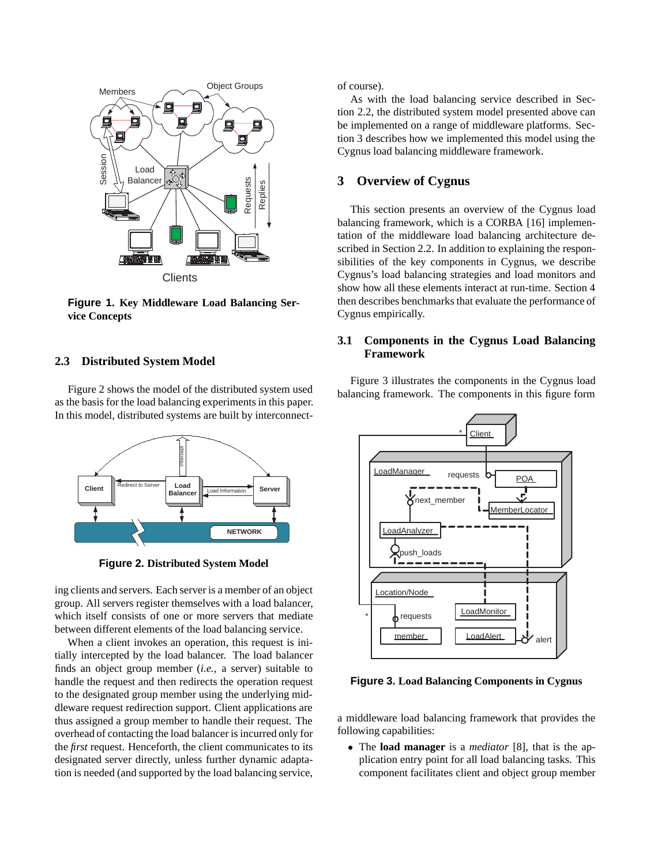

**Figure 1. Key Middleware Load Balancing Service Concepts**

### **2.3 Distributed System Model**

Figure 2 shows the model of the distributed system used as the basis for the load balancing experiments in this paper. In this model, distributed systems are built by interconnect-



**Figure 2. Distributed System Model**

ing clients and servers. Each server is a member of an object group. All servers register themselves with a load balancer, which itself consists of one or more servers that mediate between different elements of the load balancing service.

When a client invokes an operation, this request is initially intercepted by the load balancer. The load balancer finds an object group member (*i.e.*, a server) suitable to handle the request and then redirects the operation request to the designated group member using the underlying middleware request redirection support. Client applications are thus assigned a group member to handle their request. The overhead of contacting the load balancer is incurred only for the *first* request. Henceforth, the client communicates to its designated server directly, unless further dynamic adaptation is needed (and supported by the load balancing service, of course).

As with the load balancing service described in Section 2.2, the distributed system model presented above can be implemented on a range of middleware platforms. Section 3 describes how we implemented this model using the Cygnus load balancing middleware framework.

## **3 Overview of Cygnus**

This section presents an overview of the Cygnus load balancing framework, which is a CORBA [16] implementation of the middleware load balancing architecture described in Section 2.2. In addition to explaining the responsibilities of the key components in Cygnus, we describe Cygnus's load balancing strategies and load monitors and show how all these elements interact at run-time. Section 4 then describes benchmarks that evaluate the performance of Cygnus empirically.

### **3.1 Components in the Cygnus Load Balancing Framework**

Figure 3 illustrates the components in the Cygnus load balancing framework. The components in this figure form



**Figure 3. Load Balancing Components in Cygnus**

a middleware load balancing framework that provides the following capabilities:

 The **load manager** is a *mediator* [8], that is the application entry point for all load balancing tasks. This component facilitates client and object group member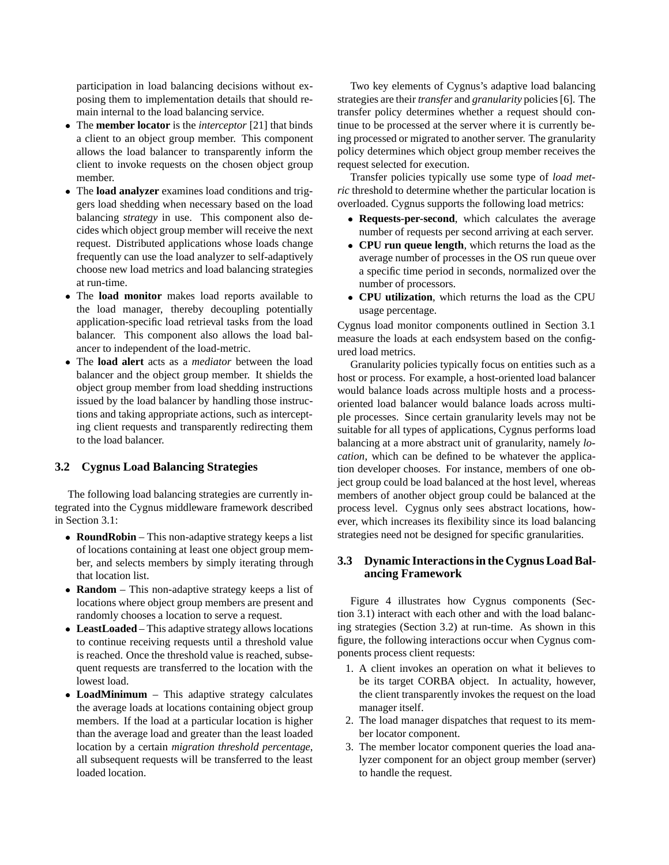participation in load balancing decisions without exposing them to implementation details that should remain internal to the load balancing service.

- The **member locator** is the *interceptor* [21] that binds a client to an object group member. This component allows the load balancer to transparently inform the client to invoke requests on the chosen object group member.
- The **load analyzer** examines load conditions and triggers load shedding when necessary based on the load balancing *strategy* in use. This component also decides which object group member will receive the next request. Distributed applications whose loads change frequently can use the load analyzer to self-adaptively choose new load metrics and load balancing strategies at run-time.
- The **load monitor** makes load reports available to the load manager, thereby decoupling potentially application-specific load retrieval tasks from the load balancer. This component also allows the load balancer to independent of the load-metric.
- The **load alert** acts as a *mediator* between the load balancer and the object group member. It shields the object group member from load shedding instructions issued by the load balancer by handling those instructions and taking appropriate actions, such as intercepting client requests and transparently redirecting them to the load balancer.

# **3.2 Cygnus Load Balancing Strategies**

The following load balancing strategies are currently integrated into the Cygnus middleware framework described in Section 3.1:

- **RoundRobin** This non-adaptive strategy keeps a list of locations containing at least one object group member, and selects members by simply iterating through that location list.
- **Random** This non-adaptive strategy keeps a list of locations where object group members are present and randomly chooses a location to serve a request.
- **LeastLoaded** This adaptive strategy allows locations to continue receiving requests until a threshold value is reached. Once the threshold value is reached, subsequent requests are transferred to the location with the lowest load.
- **LoadMinimum** This adaptive strategy calculates the average loads at locations containing object group members. If the load at a particular location is higher than the average load and greater than the least loaded location by a certain *migration threshold percentage*, all subsequent requests will be transferred to the least loaded location.

Two key elements of Cygnus's adaptive load balancing strategies are their *transfer* and *granularity* policies [6]. The transfer policy determines whether a request should continue to be processed at the server where it is currently being processed or migrated to another server. The granularity policy determines which object group member receives the request selected for execution.

Transfer policies typically use some type of *load metric* threshold to determine whether the particular location is overloaded. Cygnus supports the following load metrics:

- **Requests-per-second**, which calculates the average number of requests per second arriving at each server.
- **CPU run queue length**, which returns the load as the average number of processes in the OS run queue over a specific time period in seconds, normalized over the number of processors.
- **CPU utilization**, which returns the load as the CPU usage percentage.

Cygnus load monitor components outlined in Section 3.1 measure the loads at each endsystem based on the configured load metrics.

Granularity policies typically focus on entities such as a host or process. For example, a host-oriented load balancer would balance loads across multiple hosts and a processoriented load balancer would balance loads across multiple processes. Since certain granularity levels may not be suitable for all types of applications, Cygnus performs load balancing at a more abstract unit of granularity, namely *location*, which can be defined to be whatever the application developer chooses. For instance, members of one object group could be load balanced at the host level, whereas members of another object group could be balanced at the process level. Cygnus only sees abstract locations, however, which increases its flexibility since its load balancing strategies need not be designed for specific granularities.

### **3.3 Dynamic Interactions in the Cygnus Load Balancing Framework**

Figure 4 illustrates how Cygnus components (Section 3.1) interact with each other and with the load balancing strategies (Section 3.2) at run-time. As shown in this figure, the following interactions occur when Cygnus components process client requests:

- 1. A client invokes an operation on what it believes to be its target CORBA object. In actuality, however, the client transparently invokes the request on the load manager itself.
- 2. The load manager dispatches that request to its member locator component.
- 3. The member locator component queries the load analyzer component for an object group member (server) to handle the request.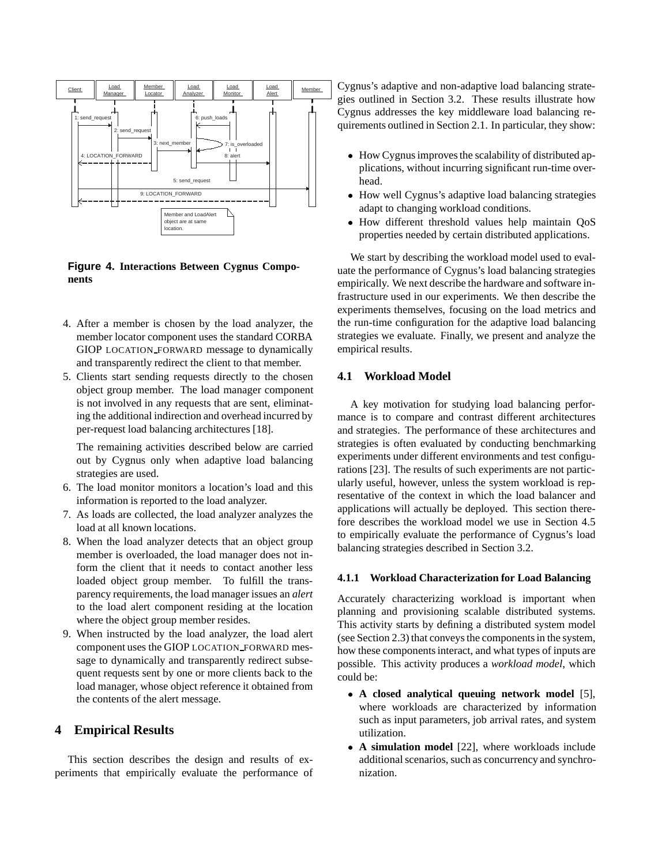

**Figure 4. Interactions Between Cygnus Components**

- 4. After a member is chosen by the load analyzer, the member locator component uses the standard CORBA GIOP LOCATION FORWARD message to dynamically and transparently redirect the client to that member.
- 5. Clients start sending requests directly to the chosen object group member. The load manager component is not involved in any requests that are sent, eliminating the additional indirection and overhead incurred by per-request load balancing architectures [18].

The remaining activities described below are carried out by Cygnus only when adaptive load balancing strategies are used.

- 6. The load monitor monitors a location's load and this information is reported to the load analyzer.
- 7. As loads are collected, the load analyzer analyzes the load at all known locations.
- 8. When the load analyzer detects that an object group member is overloaded, the load manager does not inform the client that it needs to contact another less loaded object group member. To fulfill the transparency requirements, the load manager issues an *alert* to the load alert component residing at the location where the object group member resides.
- 9. When instructed by the load analyzer, the load alert component uses the GIOP LOCATION FORWARD message to dynamically and transparently redirect subsequent requests sent by one or more clients back to the load manager, whose object reference it obtained from the contents of the alert message.

### **4 Empirical Results**

This section describes the design and results of experiments that empirically evaluate the performance of Cygnus's adaptive and non-adaptive load balancing strategies outlined in Section 3.2. These results illustrate how Cygnus addresses the key middleware load balancing requirements outlined in Section 2.1. In particular, they show:

- How Cygnus improves the scalability of distributed applications, without incurring significant run-time overhead.
- How well Cygnus's adaptive load balancing strategies adapt to changing workload conditions.
- How different threshold values help maintain QoS properties needed by certain distributed applications.

We start by describing the workload model used to evaluate the performance of Cygnus's load balancing strategies empirically. We next describe the hardware and software infrastructure used in our experiments. We then describe the experiments themselves, focusing on the load metrics and the run-time configuration for the adaptive load balancing strategies we evaluate. Finally, we present and analyze the empirical results.

### **4.1 Workload Model**

A key motivation for studying load balancing performance is to compare and contrast different architectures and strategies. The performance of these architectures and strategies is often evaluated by conducting benchmarking experiments under different environments and test configurations [23]. The results of such experiments are not particularly useful, however, unless the system workload is representative of the context in which the load balancer and applications will actually be deployed. This section therefore describes the workload model we use in Section 4.5 to empirically evaluate the performance of Cygnus's load balancing strategies described in Section 3.2.

#### **4.1.1 Workload Characterization for Load Balancing**

Accurately characterizing workload is important when planning and provisioning scalable distributed systems. This activity starts by defining a distributed system model (see Section 2.3) that conveys the components in the system, how these components interact, and what types of inputs are possible. This activity produces a *workload model*, which could be:

- **A closed analytical queuing network model** [5], where workloads are characterized by information such as input parameters, job arrival rates, and system utilization.
- **A simulation model** [22], where workloads include additional scenarios, such as concurrency and synchronization.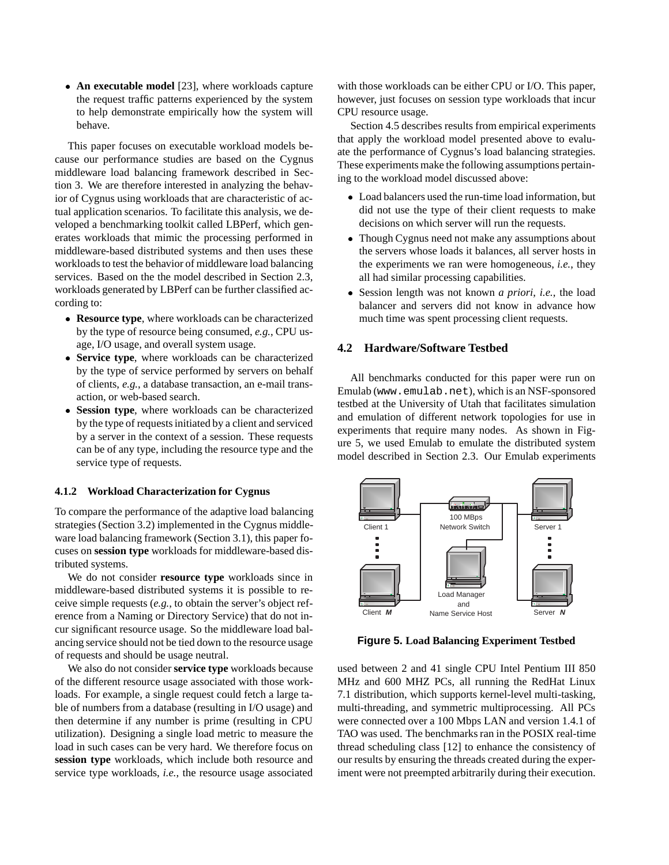**An executable model** [23], where workloads capture the request traffic patterns experienced by the system to help demonstrate empirically how the system will behave.

This paper focuses on executable workload models because our performance studies are based on the Cygnus middleware load balancing framework described in Section 3. We are therefore interested in analyzing the behavior of Cygnus using workloads that are characteristic of actual application scenarios. To facilitate this analysis, we developed a benchmarking toolkit called LBPerf, which generates workloads that mimic the processing performed in middleware-based distributed systems and then uses these workloads to test the behavior of middleware load balancing services. Based on the the model described in Section 2.3, workloads generated by LBPerf can be further classified according to:

- **Resource type**, where workloads can be characterized by the type of resource being consumed, *e.g.*, CPU usage, I/O usage, and overall system usage.
- **Service type**, where workloads can be characterized by the type of service performed by servers on behalf of clients, *e.g.*, a database transaction, an e-mail transaction, or web-based search.
- **Session type**, where workloads can be characterized by the type of requests initiated by a client and serviced by a server in the context of a session. These requests can be of any type, including the resource type and the service type of requests.

#### **4.1.2 Workload Characterization for Cygnus**

To compare the performance of the adaptive load balancing strategies (Section 3.2) implemented in the Cygnus middleware load balancing framework (Section 3.1), this paper focuses on **session type** workloads for middleware-based distributed systems.

We do not consider **resource type** workloads since in middleware-based distributed systems it is possible to receive simple requests (*e.g.*, to obtain the server's object reference from a Naming or Directory Service) that do not incur significant resource usage. So the middleware load balancing service should not be tied down to the resource usage of requests and should be usage neutral.

We also do not consider **service type** workloads because of the different resource usage associated with those workloads. For example, a single request could fetch a large table of numbers from a database (resulting in I/O usage) and then determine if any number is prime (resulting in CPU utilization). Designing a single load metric to measure the load in such cases can be very hard. We therefore focus on **session type** workloads, which include both resource and service type workloads, *i.e.*, the resource usage associated with those workloads can be either CPU or I/O. This paper, however, just focuses on session type workloads that incur CPU resource usage.

Section 4.5 describes results from empirical experiments that apply the workload model presented above to evaluate the performance of Cygnus's load balancing strategies. These experiments make the following assumptions pertaining to the workload model discussed above:

- Load balancers used the run-time load information, but did not use the type of their client requests to make decisions on which server will run the requests.
- Though Cygnus need not make any assumptions about the servers whose loads it balances, all server hosts in the experiments we ran were homogeneous, *i.e.*, they all had similar processing capabilities.
- Session length was not known *a priori*, *i.e.*, the load balancer and servers did not know in advance how much time was spent processing client requests.

### **4.2 Hardware/Software Testbed**

All benchmarks conducted for this paper were run on Emulab (www.emulab.net), which is an NSF-sponsored testbed at the University of Utah that facilitates simulation and emulation of different network topologies for use in experiments that require many nodes. As shown in Figure 5, we used Emulab to emulate the distributed system model described in Section 2.3. Our Emulab experiments



**Figure 5. Load Balancing Experiment Testbed**

used between 2 and 41 single CPU Intel Pentium III 850 MHz and 600 MHZ PCs, all running the RedHat Linux 7.1 distribution, which supports kernel-level multi-tasking, multi-threading, and symmetric multiprocessing. All PCs were connected over a 100 Mbps LAN and version 1.4.1 of TAO was used. The benchmarks ran in the POSIX real-time thread scheduling class [12] to enhance the consistency of our results by ensuring the threads created during the experiment were not preempted arbitrarily during their execution.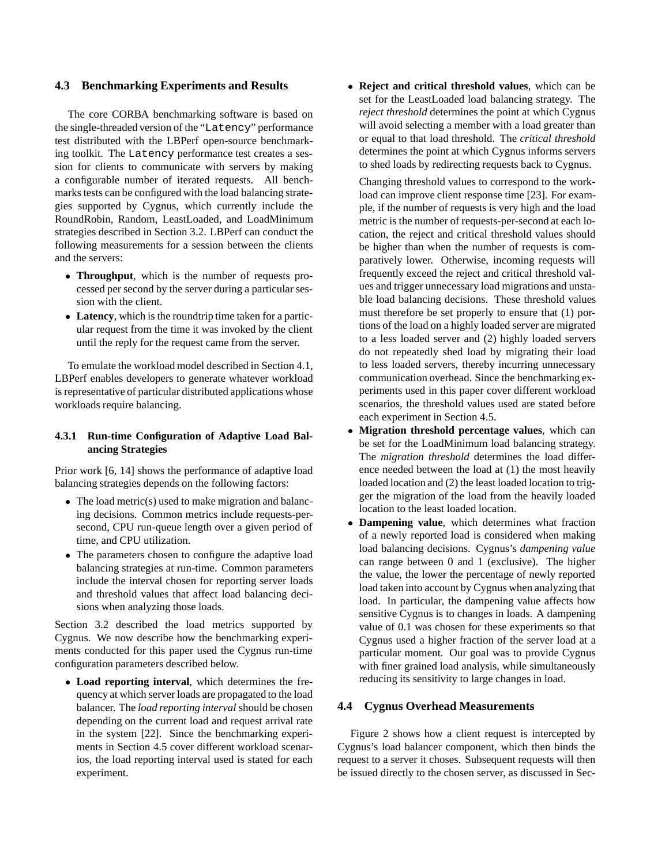### **4.3 Benchmarking Experiments and Results**

The core CORBA benchmarking software is based on the single-threaded version of the "Latency" performance test distributed with the LBPerf open-source benchmarking toolkit. The Latency performance test creates a session for clients to communicate with servers by making a configurable number of iterated requests. All benchmarks tests can be configured with the load balancing strategies supported by Cygnus, which currently include the RoundRobin, Random, LeastLoaded, and LoadMinimum strategies described in Section 3.2. LBPerf can conduct the following measurements for a session between the clients and the servers:

- **Throughput**, which is the number of requests processed per second by the server during a particular session with the client.
- **Latency**, which is the roundtrip time taken for a particular request from the time it was invoked by the client until the reply for the request came from the server.

To emulate the workload model described in Section 4.1, LBPerf enables developers to generate whatever workload is representative of particular distributed applications whose workloads require balancing.

### **4.3.1 Run-time Configuration of Adaptive Load Balancing Strategies**

Prior work [6, 14] shows the performance of adaptive load balancing strategies depends on the following factors:

- The load metric(s) used to make migration and balancing decisions. Common metrics include requests-persecond, CPU run-queue length over a given period of time, and CPU utilization.
- The parameters chosen to configure the adaptive load balancing strategies at run-time. Common parameters include the interval chosen for reporting server loads and threshold values that affect load balancing decisions when analyzing those loads.

Section 3.2 described the load metrics supported by Cygnus. We now describe how the benchmarking experiments conducted for this paper used the Cygnus run-time configuration parameters described below.

 **Load reporting interval**, which determines the frequency at which server loads are propagated to the load balancer. The *load reporting interval* should be chosen depending on the current load and request arrival rate in the system [22]. Since the benchmarking experiments in Section 4.5 cover different workload scenarios, the load reporting interval used is stated for each experiment.

 **Reject and critical threshold values**, which can be set for the LeastLoaded load balancing strategy. The *reject threshold* determines the point at which Cygnus will avoid selecting a member with a load greater than or equal to that load threshold. The *critical threshold* determines the point at which Cygnus informs servers to shed loads by redirecting requests back to Cygnus.

Changing threshold values to correspond to the workload can improve client response time [23]. For example, if the number of requests is very high and the load metric is the number of requests-per-second at each location, the reject and critical threshold values should be higher than when the number of requests is comparatively lower. Otherwise, incoming requests will frequently exceed the reject and critical threshold values and trigger unnecessary load migrations and unstable load balancing decisions. These threshold values must therefore be set properly to ensure that (1) portions of the load on a highly loaded server are migrated to a less loaded server and (2) highly loaded servers do not repeatedly shed load by migrating their load to less loaded servers, thereby incurring unnecessary communication overhead. Since the benchmarking experiments used in this paper cover different workload scenarios, the threshold values used are stated before each experiment in Section 4.5.

- **Migration threshold percentage values**, which can be set for the LoadMinimum load balancing strategy. The *migration threshold* determines the load difference needed between the load at (1) the most heavily loaded location and (2) the least loaded location to trigger the migration of the load from the heavily loaded location to the least loaded location.
- **Dampening value**, which determines what fraction of a newly reported load is considered when making load balancing decisions. Cygnus's *dampening value* can range between 0 and 1 (exclusive). The higher the value, the lower the percentage of newly reported load taken into account by Cygnus when analyzing that load. In particular, the dampening value affects how sensitive Cygnus is to changes in loads. A dampening value of 0.1 was chosen for these experiments so that Cygnus used a higher fraction of the server load at a particular moment. Our goal was to provide Cygnus with finer grained load analysis, while simultaneously reducing its sensitivity to large changes in load.

# **4.4 Cygnus Overhead Measurements**

Figure 2 shows how a client request is intercepted by Cygnus's load balancer component, which then binds the request to a server it choses. Subsequent requests will then be issued directly to the chosen server, as discussed in Sec-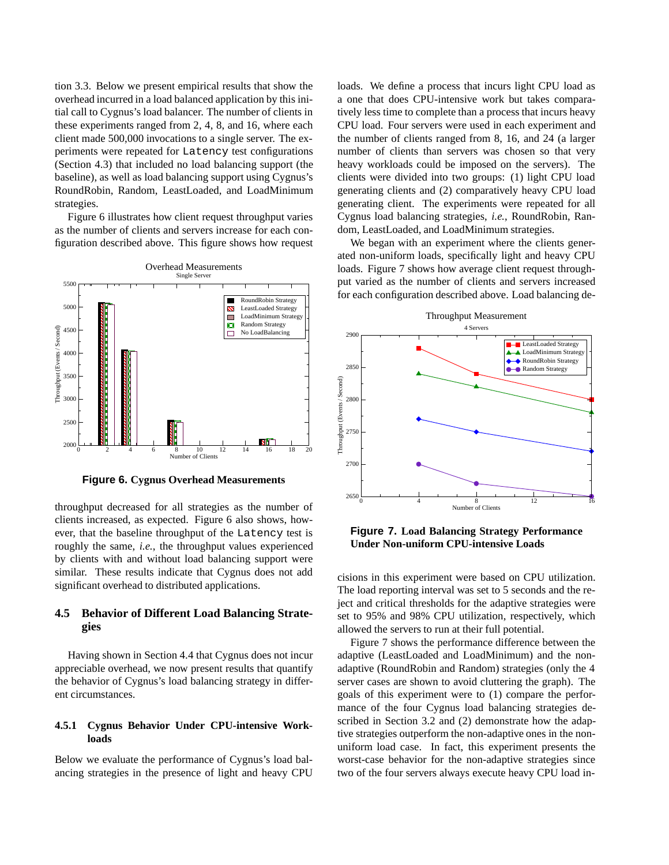tion 3.3. Below we present empirical results that show the overhead incurred in a load balanced application by this initial call to Cygnus's load balancer. The number of clients in these experiments ranged from 2, 4, 8, and 16, where each client made 500,000 invocations to a single server. The experiments were repeated for Latency test configurations (Section 4.3) that included no load balancing support (the baseline), as well as load balancing support using Cygnus's RoundRobin, Random, LeastLoaded, and LoadMinimum strategies.

Figure 6 illustrates how client request throughput varies as the number of clients and servers increase for each configuration described above. This figure shows how request



**Figure 6. Cygnus Overhead Measurements**

throughput decreased for all strategies as the number of clients increased, as expected. Figure 6 also shows, however, that the baseline throughput of the Latency test is roughly the same, *i.e.*, the throughput values experienced by clients with and without load balancing support were similar. These results indicate that Cygnus does not add significant overhead to distributed applications.

### **4.5 Behavior of Different Load Balancing Strategies**

Having shown in Section 4.4 that Cygnus does not incur appreciable overhead, we now present results that quantify the behavior of Cygnus's load balancing strategy in different circumstances.

### **4.5.1 Cygnus Behavior Under CPU-intensive Workloads**

Below we evaluate the performance of Cygnus's load balancing strategies in the presence of light and heavy CPU loads. We define a process that incurs light CPU load as a one that does CPU-intensive work but takes comparatively less time to complete than a process that incurs heavy CPU load. Four servers were used in each experiment and the number of clients ranged from 8, 16, and 24 (a larger number of clients than servers was chosen so that very heavy workloads could be imposed on the servers). The clients were divided into two groups: (1) light CPU load generating clients and (2) comparatively heavy CPU load generating client. The experiments were repeated for all Cygnus load balancing strategies, *i.e.*, RoundRobin, Random, LeastLoaded, and LoadMinimum strategies.

We began with an experiment where the clients generated non-uniform loads, specifically light and heavy CPU loads. Figure 7 shows how average client request throughput varied as the number of clients and servers increased for each configuration described above. Load balancing de-



**Figure 7. Load Balancing Strategy Performance Under Non-uniform CPU-intensive Loads**

cisions in this experiment were based on CPU utilization. The load reporting interval was set to 5 seconds and the reject and critical thresholds for the adaptive strategies were set to 95% and 98% CPU utilization, respectively, which allowed the servers to run at their full potential.

Figure 7 shows the performance difference between the adaptive (LeastLoaded and LoadMinimum) and the nonadaptive (RoundRobin and Random) strategies (only the 4 server cases are shown to avoid cluttering the graph). The goals of this experiment were to (1) compare the performance of the four Cygnus load balancing strategies described in Section 3.2 and (2) demonstrate how the adaptive strategies outperform the non-adaptive ones in the nonuniform load case. In fact, this experiment presents the worst-case behavior for the non-adaptive strategies since two of the four servers always execute heavy CPU load in-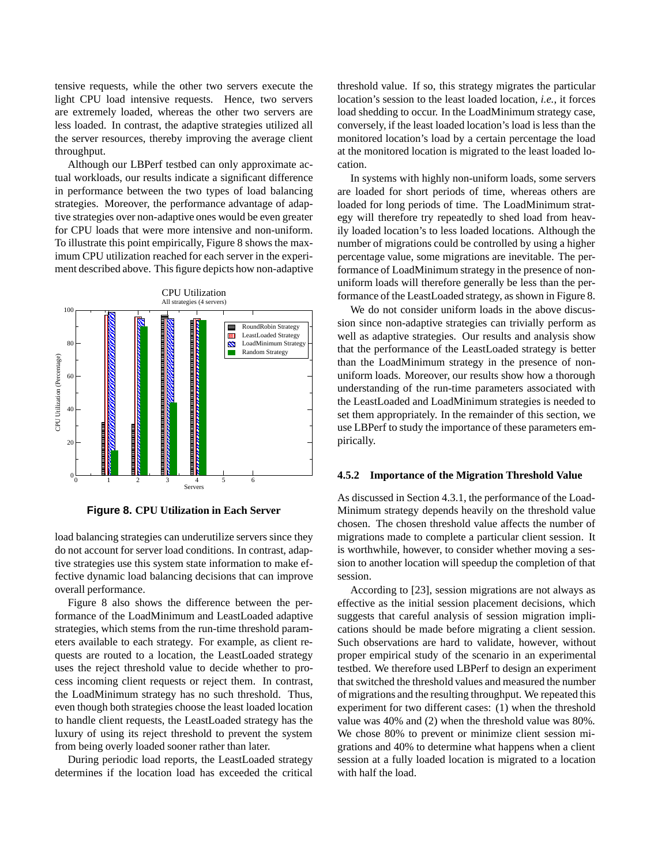tensive requests, while the other two servers execute the light CPU load intensive requests. Hence, two servers are extremely loaded, whereas the other two servers are less loaded. In contrast, the adaptive strategies utilized all the server resources, thereby improving the average client throughput.

Although our LBPerf testbed can only approximate actual workloads, our results indicate a significant difference in performance between the two types of load balancing strategies. Moreover, the performance advantage of adaptive strategies over non-adaptive ones would be even greater for CPU loads that were more intensive and non-uniform. To illustrate this point empirically, Figure 8 shows the maximum CPU utilization reached for each server in the experiment described above. This figure depicts how non-adaptive



**Figure 8. CPU Utilization in Each Server**

load balancing strategies can underutilize servers since they do not account for server load conditions. In contrast, adaptive strategies use this system state information to make effective dynamic load balancing decisions that can improve overall performance.

Figure 8 also shows the difference between the performance of the LoadMinimum and LeastLoaded adaptive strategies, which stems from the run-time threshold parameters available to each strategy. For example, as client requests are routed to a location, the LeastLoaded strategy uses the reject threshold value to decide whether to process incoming client requests or reject them. In contrast, the LoadMinimum strategy has no such threshold. Thus, even though both strategies choose the least loaded location to handle client requests, the LeastLoaded strategy has the luxury of using its reject threshold to prevent the system from being overly loaded sooner rather than later.

During periodic load reports, the LeastLoaded strategy determines if the location load has exceeded the critical threshold value. If so, this strategy migrates the particular location's session to the least loaded location, *i.e.*, it forces load shedding to occur. In the LoadMinimum strategy case, conversely, if the least loaded location's load is less than the monitored location's load by a certain percentage the load at the monitored location is migrated to the least loaded location.

In systems with highly non-uniform loads, some servers are loaded for short periods of time, whereas others are loaded for long periods of time. The LoadMinimum strategy will therefore try repeatedly to shed load from heavily loaded location's to less loaded locations. Although the number of migrations could be controlled by using a higher percentage value, some migrations are inevitable. The performance of LoadMinimum strategy in the presence of nonuniform loads will therefore generally be less than the performance of the LeastLoaded strategy, as shown in Figure 8.

We do not consider uniform loads in the above discussion since non-adaptive strategies can trivially perform as well as adaptive strategies. Our results and analysis show that the performance of the LeastLoaded strategy is better than the LoadMinimum strategy in the presence of nonuniform loads. Moreover, our results show how a thorough understanding of the run-time parameters associated with the LeastLoaded and LoadMinimum strategies is needed to set them appropriately. In the remainder of this section, we use LBPerf to study the importance of these parameters empirically.

#### **4.5.2 Importance of the Migration Threshold Value**

As discussed in Section 4.3.1, the performance of the Load-Minimum strategy depends heavily on the threshold value chosen. The chosen threshold value affects the number of migrations made to complete a particular client session. It is worthwhile, however, to consider whether moving a session to another location will speedup the completion of that session.

According to [23], session migrations are not always as effective as the initial session placement decisions, which suggests that careful analysis of session migration implications should be made before migrating a client session. Such observations are hard to validate, however, without proper empirical study of the scenario in an experimental testbed. We therefore used LBPerf to design an experiment that switched the threshold values and measured the number of migrations and the resulting throughput. We repeated this experiment for two different cases: (1) when the threshold value was 40% and (2) when the threshold value was 80%. We chose 80% to prevent or minimize client session migrations and 40% to determine what happens when a client session at a fully loaded location is migrated to a location with half the load.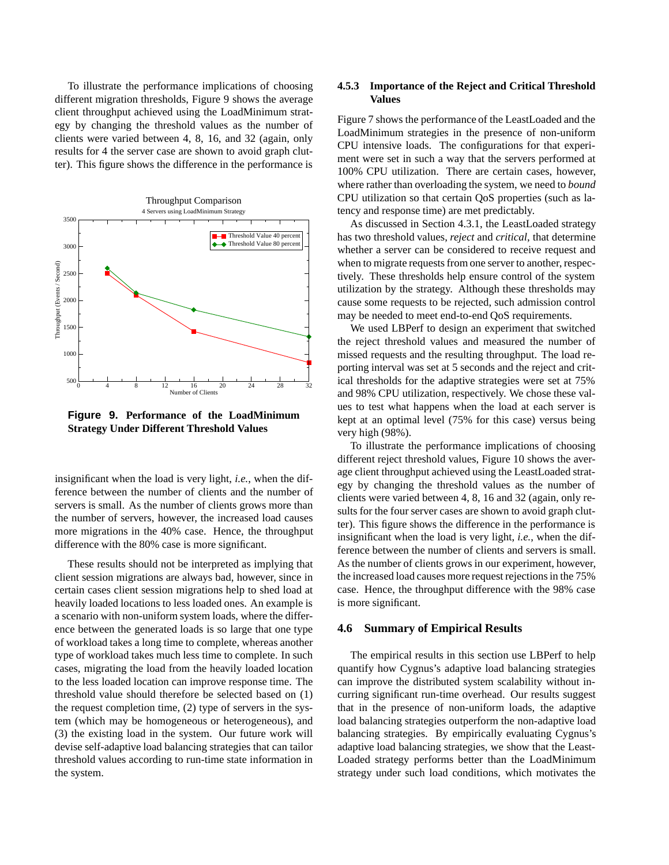To illustrate the performance implications of choosing different migration thresholds, Figure 9 shows the average client throughput achieved using the LoadMinimum strategy by changing the threshold values as the number of clients were varied between 4, 8, 16, and 32 (again, only results for 4 the server case are shown to avoid graph clutter). This figure shows the difference in the performance is



**Figure 9. Performance of the LoadMinimum Strategy Under Different Threshold Values**

insignificant when the load is very light, *i.e.*, when the difference between the number of clients and the number of servers is small. As the number of clients grows more than the number of servers, however, the increased load causes more migrations in the 40% case. Hence, the throughput difference with the 80% case is more significant.

These results should not be interpreted as implying that client session migrations are always bad, however, since in certain cases client session migrations help to shed load at heavily loaded locations to less loaded ones. An example is a scenario with non-uniform system loads, where the difference between the generated loads is so large that one type of workload takes a long time to complete, whereas another type of workload takes much less time to complete. In such cases, migrating the load from the heavily loaded location to the less loaded location can improve response time. The threshold value should therefore be selected based on (1) the request completion time, (2) type of servers in the system (which may be homogeneous or heterogeneous), and (3) the existing load in the system. Our future work will devise self-adaptive load balancing strategies that can tailor threshold values according to run-time state information in the system.

#### **4.5.3 Importance of the Reject and Critical Threshold Values**

Figure 7 shows the performance of the LeastLoaded and the LoadMinimum strategies in the presence of non-uniform CPU intensive loads. The configurations for that experiment were set in such a way that the servers performed at 100% CPU utilization. There are certain cases, however, where rather than overloading the system, we need to *bound* CPU utilization so that certain QoS properties (such as latency and response time) are met predictably.

As discussed in Section 4.3.1, the LeastLoaded strategy has two threshold values, *reject* and *critical*, that determine whether a server can be considered to receive request and when to migrate requests from one server to another, respectively. These thresholds help ensure control of the system utilization by the strategy. Although these thresholds may cause some requests to be rejected, such admission control may be needed to meet end-to-end QoS requirements.

We used LBPerf to design an experiment that switched the reject threshold values and measured the number of missed requests and the resulting throughput. The load reporting interval was set at 5 seconds and the reject and critical thresholds for the adaptive strategies were set at 75% and 98% CPU utilization, respectively. We chose these values to test what happens when the load at each server is kept at an optimal level (75% for this case) versus being very high (98%).

To illustrate the performance implications of choosing different reject threshold values, Figure 10 shows the average client throughput achieved using the LeastLoaded strategy by changing the threshold values as the number of clients were varied between 4, 8, 16 and 32 (again, only results for the four server cases are shown to avoid graph clutter). This figure shows the difference in the performance is insignificant when the load is very light, *i.e.*, when the difference between the number of clients and servers is small. As the number of clients grows in our experiment, however, the increased load causes more request rejections in the 75% case. Hence, the throughput difference with the 98% case is more significant.

#### **4.6 Summary of Empirical Results**

The empirical results in this section use LBPerf to help quantify how Cygnus's adaptive load balancing strategies can improve the distributed system scalability without incurring significant run-time overhead. Our results suggest that in the presence of non-uniform loads, the adaptive load balancing strategies outperform the non-adaptive load balancing strategies. By empirically evaluating Cygnus's adaptive load balancing strategies, we show that the Least-Loaded strategy performs better than the LoadMinimum strategy under such load conditions, which motivates the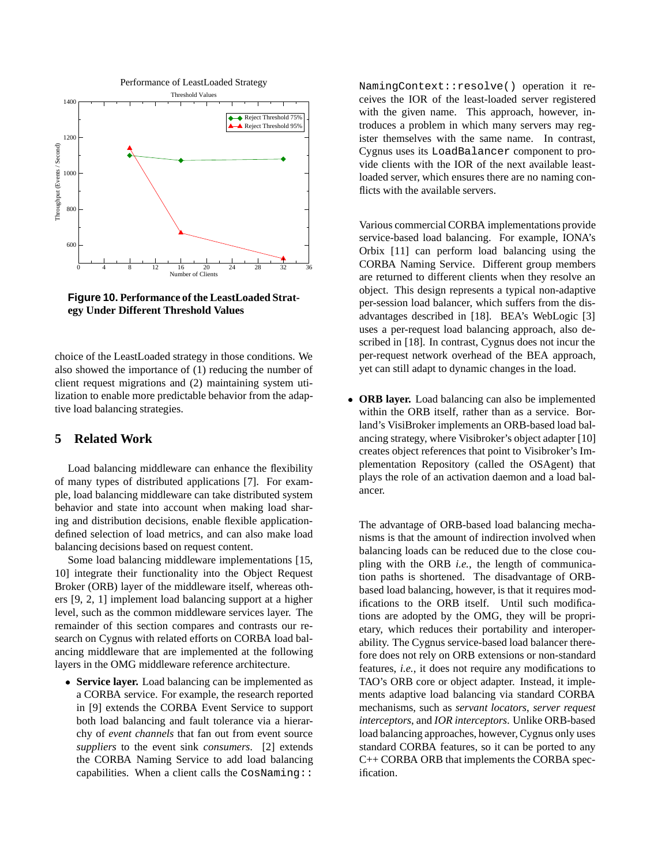

**Figure 10. Performance of the LeastLoaded Strategy Under Different Threshold Values**

choice of the LeastLoaded strategy in those conditions. We also showed the importance of (1) reducing the number of client request migrations and (2) maintaining system utilization to enable more predictable behavior from the adaptive load balancing strategies.

# **5 Related Work**

Load balancing middleware can enhance the flexibility of many types of distributed applications [7]. For example, load balancing middleware can take distributed system behavior and state into account when making load sharing and distribution decisions, enable flexible applicationdefined selection of load metrics, and can also make load balancing decisions based on request content.

Some load balancing middleware implementations [15, 10] integrate their functionality into the Object Request Broker (ORB) layer of the middleware itself, whereas others [9, 2, 1] implement load balancing support at a higher level, such as the common middleware services layer. The remainder of this section compares and contrasts our research on Cygnus with related efforts on CORBA load balancing middleware that are implemented at the following layers in the OMG middleware reference architecture.

 **Service layer.** Load balancing can be implemented as a CORBA service. For example, the research reported in [9] extends the CORBA Event Service to support both load balancing and fault tolerance via a hierarchy of *event channels* that fan out from event source *suppliers* to the event sink *consumers*. [2] extends the CORBA Naming Service to add load balancing capabilities. When a client calls the CosNaming::

NamingContext::resolve() operation it receives the IOR of the least-loaded server registered with the given name. This approach, however, introduces a problem in which many servers may register themselves with the same name. In contrast, Cygnus uses its LoadBalancer component to provide clients with the IOR of the next available leastloaded server, which ensures there are no naming conflicts with the available servers.

Various commercial CORBA implementations provide service-based load balancing. For example, IONA's Orbix [11] can perform load balancing using the CORBA Naming Service. Different group members are returned to different clients when they resolve an object. This design represents a typical non-adaptive per-session load balancer, which suffers from the disadvantages described in [18]. BEA's WebLogic [3] uses a per-request load balancing approach, also described in [18]. In contrast, Cygnus does not incur the per-request network overhead of the BEA approach, yet can still adapt to dynamic changes in the load.

 **ORB layer.** Load balancing can also be implemented within the ORB itself, rather than as a service. Borland's VisiBroker implements an ORB-based load balancing strategy, where Visibroker's object adapter [10] creates object references that point to Visibroker's Implementation Repository (called the OSAgent) that plays the role of an activation daemon and a load balancer.

The advantage of ORB-based load balancing mechanisms is that the amount of indirection involved when balancing loads can be reduced due to the close coupling with the ORB *i.e.*, the length of communication paths is shortened. The disadvantage of ORBbased load balancing, however, is that it requires modifications to the ORB itself. Until such modifications are adopted by the OMG, they will be proprietary, which reduces their portability and interoperability. The Cygnus service-based load balancer therefore does not rely on ORB extensions or non-standard features, *i.e.*, it does not require any modifications to TAO's ORB core or object adapter. Instead, it implements adaptive load balancing via standard CORBA mechanisms, such as *servant locators*, *server request interceptors*, and *IOR interceptors*. Unlike ORB-based load balancing approaches, however, Cygnus only uses standard CORBA features, so it can be ported to any C++ CORBA ORB that implements the CORBA specification.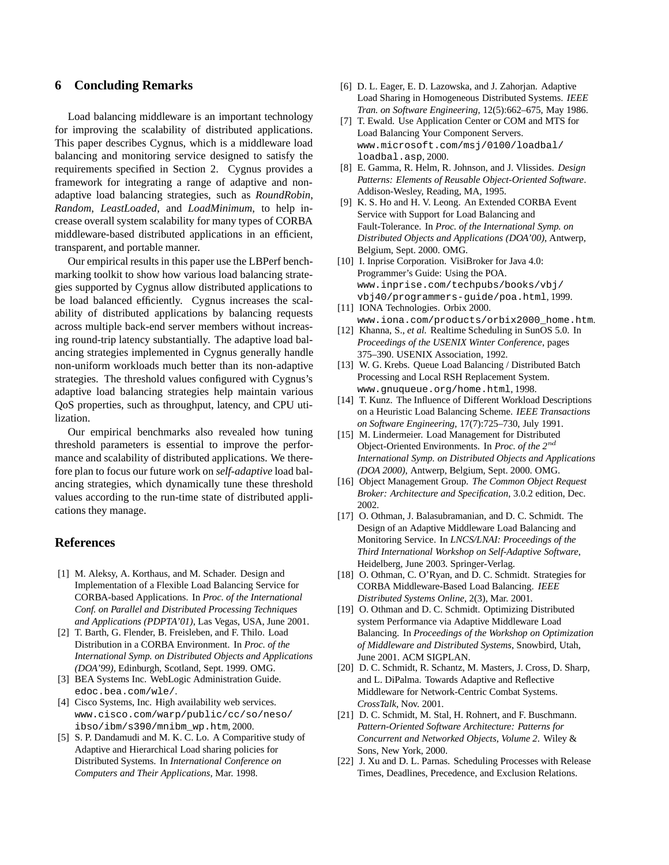### **6 Concluding Remarks**

Load balancing middleware is an important technology for improving the scalability of distributed applications. This paper describes Cygnus, which is a middleware load balancing and monitoring service designed to satisfy the requirements specified in Section 2. Cygnus provides a framework for integrating a range of adaptive and nonadaptive load balancing strategies, such as *RoundRobin*, *Random*, *LeastLoaded*, and *LoadMinimum*, to help increase overall system scalability for many types of CORBA middleware-based distributed applications in an efficient, transparent, and portable manner.

Our empirical results in this paper use the LBPerf benchmarking toolkit to show how various load balancing strategies supported by Cygnus allow distributed applications to be load balanced efficiently. Cygnus increases the scalability of distributed applications by balancing requests across multiple back-end server members without increasing round-trip latency substantially. The adaptive load balancing strategies implemented in Cygnus generally handle non-uniform workloads much better than its non-adaptive strategies. The threshold values configured with Cygnus's adaptive load balancing strategies help maintain various QoS properties, such as throughput, latency, and CPU utilization.

Our empirical benchmarks also revealed how tuning threshold parameters is essential to improve the performance and scalability of distributed applications. We therefore plan to focus our future work on *self-adaptive* load balancing strategies, which dynamically tune these threshold values according to the run-time state of distributed applications they manage.

### **References**

- [1] M. Aleksy, A. Korthaus, and M. Schader. Design and Implementation of a Flexible Load Balancing Service for CORBA-based Applications. In *Proc. of the International Conf. on Parallel and Distributed Processing Techniques and Applications (PDPTA'01)*, Las Vegas, USA, June 2001.
- [2] T. Barth, G. Flender, B. Freisleben, and F. Thilo. Load Distribution in a CORBA Environment. In *Proc. of the International Symp. on Distributed Objects and Applications (DOA'99)*, Edinburgh, Scotland, Sept. 1999. OMG.
- [3] BEA Systems Inc. WebLogic Administration Guide. edoc.bea.com/wle/.
- [4] Cisco Systems, Inc. High availability web services. www.cisco.com/warp/public/cc/so/neso/ ibso/ibm/s390/mnibm\_wp.htm, 2000.
- [5] S. P. Dandamudi and M. K. C. Lo. A Comparitive study of Adaptive and Hierarchical Load sharing policies for Distributed Systems. In *International Conference on Computers and Their Applications*, Mar. 1998.
- [6] D. L. Eager, E. D. Lazowska, and J. Zahorjan. Adaptive Load Sharing in Homogeneous Distributed Systems. *IEEE Tran. on Software Engineering*, 12(5):662–675, May 1986.
- [7] T. Ewald. Use Application Center or COM and MTS for Load Balancing Your Component Servers. www.microsoft.com/msj/0100/loadbal/ loadbal.asp, 2000.
- [8] E. Gamma, R. Helm, R. Johnson, and J. Vlissides. *Design Patterns: Elements of Reusable Object-Oriented Software*. Addison-Wesley, Reading, MA, 1995.
- [9] K. S. Ho and H. V. Leong. An Extended CORBA Event Service with Support for Load Balancing and Fault-Tolerance. In *Proc. of the International Symp. on Distributed Objects and Applications (DOA'00)*, Antwerp, Belgium, Sept. 2000. OMG.
- [10] I. Inprise Corporation. VisiBroker for Java 4.0: Programmer's Guide: Using the POA. www.inprise.com/techpubs/books/vbj/ vbj40/programmers-guide/poa.html, 1999.
- [11] IONA Technologies. Orbix 2000. www.iona.com/products/orbix2000\_home.htm.
- [12] Khanna, S., *et al.* Realtime Scheduling in SunOS 5.0. In *Proceedings of the USENIX Winter Conference*, pages 375–390. USENIX Association, 1992.
- [13] W. G. Krebs. Queue Load Balancing / Distributed Batch Processing and Local RSH Replacement System. www.gnuqueue.org/home.html, 1998.
- [14] T. Kunz. The Influence of Different Workload Descriptions on a Heuristic Load Balancing Scheme. *IEEE Transactions on Software Engineering*, 17(7):725–730, July 1991.
- [15] M. Lindermeier. Load Management for Distributed Object-Oriented Environments. In *Proc. of the 2*nd *International Symp. on Distributed Objects and Applications (DOA 2000)*, Antwerp, Belgium, Sept. 2000. OMG.
- [16] Object Management Group. *The Common Object Request Broker: Architecture and Specification*, 3.0.2 edition, Dec. 2002.
- [17] O. Othman, J. Balasubramanian, and D. C. Schmidt. The Design of an Adaptive Middleware Load Balancing and Monitoring Service. In *LNCS/LNAI: Proceedings of the Third International Workshop on Self-Adaptive Software*, Heidelberg, June 2003. Springer-Verlag.
- [18] O. Othman, C. O'Ryan, and D. C. Schmidt. Strategies for CORBA Middleware-Based Load Balancing. *IEEE Distributed Systems Online*, 2(3), Mar. 2001.
- [19] O. Othman and D. C. Schmidt. Optimizing Distributed system Performance via Adaptive Middleware Load Balancing. In *Proceedings of the Workshop on Optimization of Middleware and Distributed Systems*, Snowbird, Utah, June 2001. ACM SIGPLAN.
- [20] D. C. Schmidt, R. Schantz, M. Masters, J. Cross, D. Sharp, and L. DiPalma. Towards Adaptive and Reflective Middleware for Network-Centric Combat Systems. *CrossTalk*, Nov. 2001.
- [21] D. C. Schmidt, M. Stal, H. Rohnert, and F. Buschmann. *Pattern-Oriented Software Architecture: Patterns for Concurrent and Networked Objects, Volume 2*. Wiley & Sons, New York, 2000.
- [22] J. Xu and D. L. Parnas. Scheduling Processes with Release Times, Deadlines, Precedence, and Exclusion Relations.